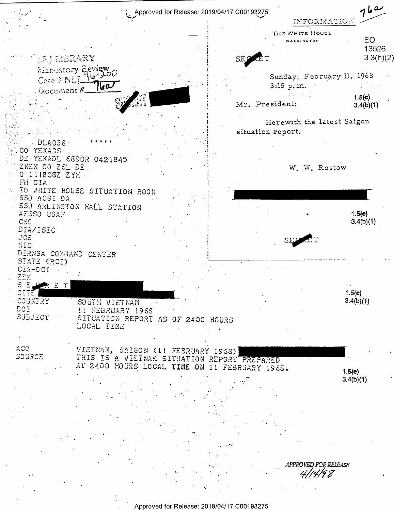

Approved for Release: 2019/04/17 C00193275